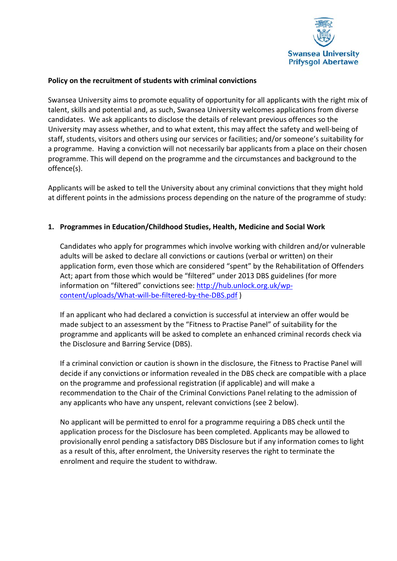

### **Policy on the recruitment of students with criminal convictions**

Swansea University aims to promote equality of opportunity for all applicants with the right mix of talent, skills and potential and, as such, Swansea University welcomes applications from diverse candidates. We ask applicants to disclose the details of relevant previous offences so the University may assess whether, and to what extent, this may affect the safety and well-being of staff, students, visitors and others using our services or facilities; and/or someone's suitability for a programme. Having a conviction will not necessarily bar applicants from a place on their chosen programme. This will depend on the programme and the circumstances and background to the offence(s).

Applicants will be asked to tell the University about any criminal convictions that they might hold at different points in the admissions process depending on the nature of the programme of study:

# **1. Programmes in Education/Childhood Studies, Health, Medicine and Social Work**

Candidates who apply for programmes which involve working with children and/or vulnerable adults will be asked to declare all convictions or cautions (verbal or written) on their application form, even those which are considered "spent" by the Rehabilitation of Offenders Act; apart from those which would be "filtered" under 2013 DBS guidelines (for more information on "filtered" convictions see[: http://hub.unlock.org.uk/wp](http://hub.unlock.org.uk/wp-content/uploads/What-will-be-filtered-by-the-DBS.pdf)[content/uploads/What-will-be-filtered-by-the-DBS.pdf](http://hub.unlock.org.uk/wp-content/uploads/What-will-be-filtered-by-the-DBS.pdf) )

If an applicant who had declared a conviction is successful at interview an offer would be made subject to an assessment by the "Fitness to Practise Panel" of suitability for the programme and applicants will be asked to complete an enhanced criminal records check via the Disclosure and Barring Service (DBS).

If a criminal conviction or caution is shown in the disclosure, the Fitness to Practise Panel will decide if any convictions or information revealed in the DBS check are compatible with a place on the programme and professional registration (if applicable) and will make a recommendation to the Chair of the Criminal Convictions Panel relating to the admission of any applicants who have any unspent, relevant convictions (see 2 below).

No applicant will be permitted to enrol for a programme requiring a DBS check until the application process for the Disclosure has been completed. Applicants may be allowed to provisionally enrol pending a satisfactory DBS Disclosure but if any information comes to light as a result of this, after enrolment, the University reserves the right to terminate the enrolment and require the student to withdraw.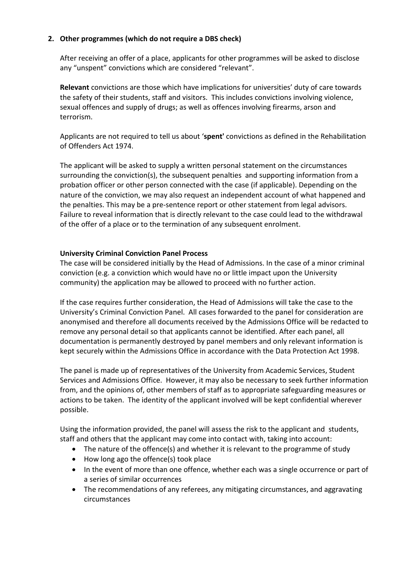# **2. Other programmes (which do not require a DBS check)**

After receiving an offer of a place, applicants for other programmes will be asked to disclose any "unspent" convictions which are considered "relevant".

**Relevant** convictions are those which have implications for universities' duty of care towards the safety of their students, staff and visitors. This includes convictions involving violence, sexual offences and supply of drugs; as well as offences involving firearms, arson and terrorism.

Applicants are not required to tell us about '**spent'** convictions as defined in the Rehabilitation of Offenders Act 1974.

The applicant will be asked to supply a written personal statement on the circumstances surrounding the conviction(s), the subsequent penalties and supporting information from a probation officer or other person connected with the case (if applicable). Depending on the nature of the conviction, we may also request an independent account of what happened and the penalties. This may be a pre-sentence report or other statement from legal advisors. Failure to reveal information that is directly relevant to the case could lead to the withdrawal of the offer of a place or to the termination of any subsequent enrolment.

### **University Criminal Conviction Panel Process**

The case will be considered initially by the Head of Admissions. In the case of a minor criminal conviction (e.g. a conviction which would have no or little impact upon the University community) the application may be allowed to proceed with no further action.

If the case requires further consideration, the Head of Admissions will take the case to the University's Criminal Conviction Panel. All cases forwarded to the panel for consideration are anonymised and therefore all documents received by the Admissions Office will be redacted to remove any personal detail so that applicants cannot be identified. After each panel, all documentation is permanently destroyed by panel members and only relevant information is kept securely within the Admissions Office in accordance with the Data Protection Act 1998.

The panel is made up of representatives of the University from Academic Services, Student Services and Admissions Office. However, it may also be necessary to seek further information from, and the opinions of, other members of staff as to appropriate safeguarding measures or actions to be taken. The identity of the applicant involved will be kept confidential wherever possible.

Using the information provided, the panel will assess the risk to the applicant and students, staff and others that the applicant may come into contact with, taking into account:

- The nature of the offence(s) and whether it is relevant to the programme of study
- How long ago the offence(s) took place
- In the event of more than one offence, whether each was a single occurrence or part of a series of similar occurrences
- The recommendations of any referees, any mitigating circumstances, and aggravating circumstances